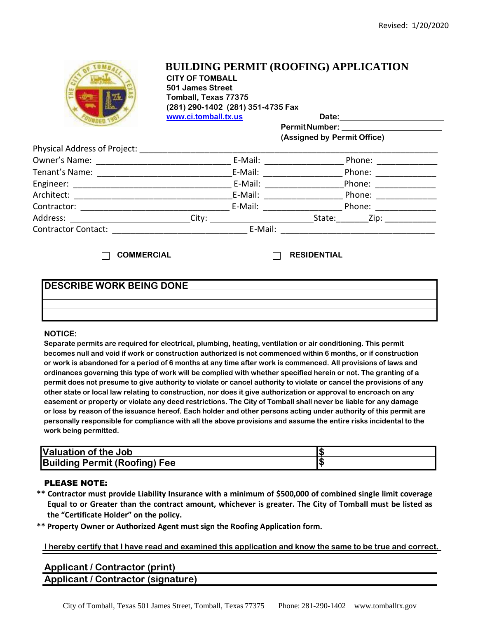

# **BUILDING PERMIT (ROOFING) APPLICATION**

**CITY OF TOMBALL 501 James Street Tomball, Texas 77375 (281) 290-1402 (281) 351-4735 Fax www.ci.tomball.tx.us Date:**

**PermitNumber: (Assigned by Permit Office)**

| Physical Address of Project: |         |         |                |
|------------------------------|---------|---------|----------------|
| Owner's Name:                |         | E-Mail: | Phone:         |
| Tenant's Name:               |         | E-Mail: | Phone:         |
| Engineer:                    |         | E-Mail: | Phone:         |
| Architect:                   |         | E-Mail: | Phone:         |
| Contractor:                  |         | E-Mail: | Phone:         |
| Address:                     | City:   |         | State:<br>Zip: |
| <b>Contractor Contact:</b>   | E-Mail: |         |                |

**COMMERCIAL RESIDENTIAL**

## **DESCRIBE WORK BEING DONE**

### **NOTICE:**

**Separate permits are required for electrical, plumbing, heating, ventilation or air conditioning. This permit becomes null and void if work or construction authorized is not commenced within 6 months, or if construction or work is abandoned for a period of 6 months at any time after work is commenced. All provisions of laws and ordinances governing this type of work will be complied with whether specified herein or not. The granting of a permit does not presume to give authority to violate or cancel authority to violate or cancel the provisions of any other state or local law relating to construction, nor does it give authorization or approval to encroach on any easement or property or violate any deed restrictions. The City of Tomball shall never be liable for any damage or loss by reason of the issuance hereof. Each holder and other persons acting under authority of this permit are personally responsible for compliance with all the above provisions and assume the entire risks incidental to the work being permitted.**

| <b>Valuation of the Job</b>          |  |
|--------------------------------------|--|
| <b>Building Permit (Roofing) Fee</b> |  |

### PLEASE NOTE:

- **\*\* Contractor must provide Liability Insurance with a minimum of \$500,000 of combined single limit coverage Equal to or Greater than the contract amount, whichever is greater. The City of Tomball must be listed as the "Certificate Holder" on the policy.**
- **\*\* Property Owner or Authorized Agent must sign the Roofing Application form.**

**I hereby certify that I have read and examined this application and know the same to be true and correct.** 

## **Applicant / Contractor (print) Applicant / Contractor (signature)**